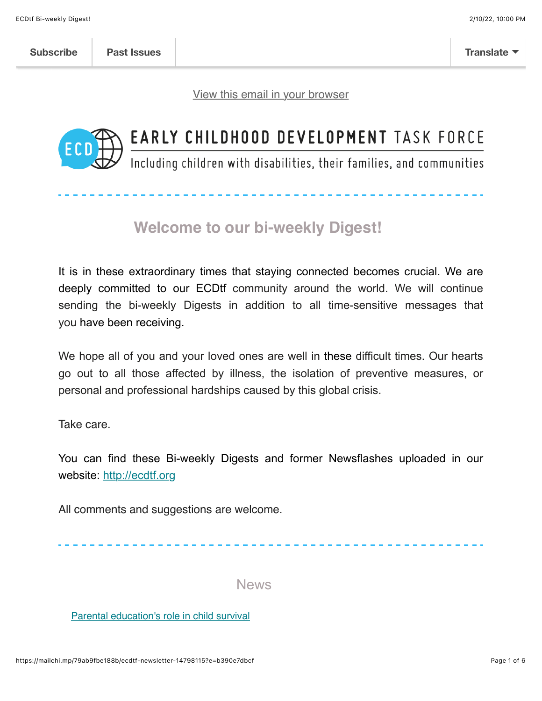[View this email in your browser](https://mailchi.mp/79ab9fbe188b/ecdtf-newsletter-14798115?e=b390e7dbcf)



# EARLY CHILDHOOD DEVELOPMENT TASK FORCE

Including children with disabilities, their families, and communities

# **Welcome to our bi-weekly Digest!**

It is in these extraordinary times that staying connected becomes crucial. We are deeply committed to our ECDtf community around the world. We will continue sending the bi-weekly Digests in addition to all time-sensitive messages that you have been receiving.

We hope all of you and your loved ones are well in these difficult times. Our hearts go out to all those affected by illness, the isolation of preventive measures, or personal and professional hardships caused by this global crisis.

Take care.

You can find these Bi-weekly Digests and former Newsflashes uploaded in our website: [http://ecdtf.org](http://ecdtf.org/)

All comments and suggestions are welcome.

News

[Parental education's role in child survival](https://www.thelancet.com/journals/lancet/article/PIIS0140-6736(21)00787-X/fulltext?dgcid=raven_jbs_etoc_email)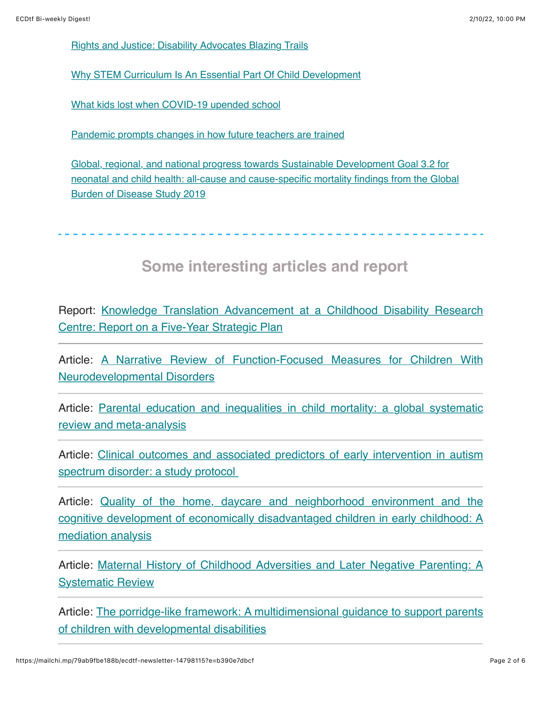[Rights and Justice: Disability Advocates Blazing Trails](https://www.yesmagazine.org/issue/what-the-rest-of-the-world-knows/2020/11/03/disability-justice-advocates-blazing-trails?utm_medium=email&utm_campaign=YESDaily_20210821&utm_content=YESDaily_20210821+CID_eaed244ce66b4522360be855d4f452d4&utm_source=CM&utm_term=Read%20the%20full%20story)

[Why STEM Curriculum Is An Essential Part Of Child Development](http://bweducation.businessworld.in/article/Why-STEM-Curriculum-Is-An-Essential-Part-Of-Child-Development/10-08-2021-400082/)

[What kids lost when COVID-19 upended school](https://www.sciencenews.org/article/covid-school-kids-lost-education-learning-gap)

[Pandemic prompts changes in how future teachers are trained](https://apnews.com/article/technology-health-education-pandemics-coronavirus-pandemic-f2dabbf25ac4a074360ec80671971f56)

Global, regional, and national progress towards Sustainable Development Goal 3.2 for [neonatal and child health: all-cause and cause-specific mortality findings from the Global](https://www.thelancet.com/journals/lancet/article/PIIS0140-6736(21)01207-1/fulltext?dgcid=raven_jbs_etoc_email) Burden of Disease Study 2019

#### **Some interesting articles and report**

[Report: Knowledge Translation Advancement at a Childhood Disability Research](https://src-online.ca/index.php/src/article/view/387) Centre: Report on a Five-Year Strategic Plan

[Article: A Narrative Review of Function-Focused Measures for Children With](https://www.frontiersin.org/articles/10.3389/fresc.2021.709978/full) Neurodevelopmental Disorders

[Article: Parental education and inequalities in child mortality: a global systematic](https://www.thelancet.com/journals/lancet/article/PIIS0140-6736(21)00534-1/fulltext?dgcid=raven_jbs_etoc_email) review and meta-analysis

[Article: Clinical outcomes and associated predictors of early intervention in autism](https://bmjopen.bmj.com/content/11/8/e047290.full) spectrum disorder: a study protocol

[Article: Quality of the home, daycare and neighborhood environment and the](https://www.sciencedirect.com/science/article/abs/pii/S016363832100093X) cognitive development of economically disadvantaged children in early childhood: A mediation analysis

[Article: Maternal History of Childhood Adversities and Later Negative Parenting: A](https://journals.sagepub.com/doi/abs/10.1177/15248380211036076) **Systematic Review** 

[Article: The porridge-like framework: A multidimensional guidance to support parents](https://www.sciencedirect.com/science/article/abs/pii/S0891422221001979) of children with developmental disabilities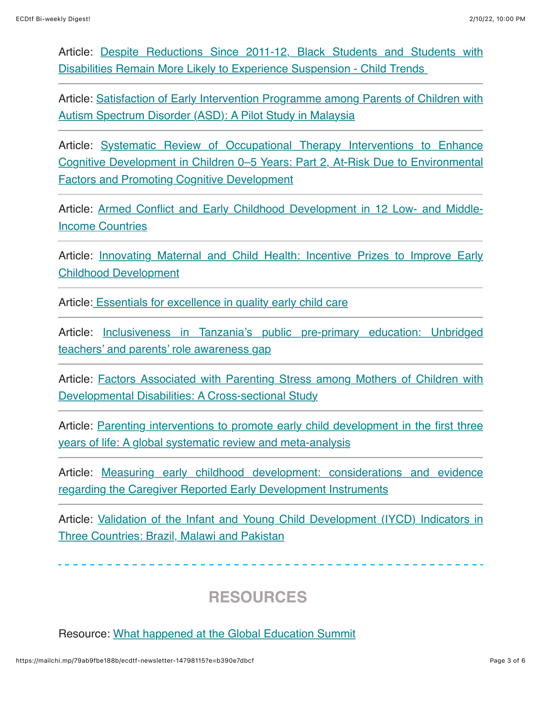Article: **Despite Reductions Since 2011-12, Black Students and Students with** Disabilities Remain More Likely to Experience Suspension - Child Trends

[Article: Satisfaction of Early Intervention Programme among Parents of Children with](https://www.researchgate.net/publication/353480529_Satisfaction_of_Early_Intervention_Programme_among_Parents_of_Children_with_Autism_Spectrum_Disorder_ASD_A_Pilot_Study_in_Malaysia) Autism Spectrum Disorder (ASD): A Pilot Study in Malaysia

[Article: Systematic Review of Occupational Therapy Interventions to Enhance](https://www.tandfonline.com/doi/abs/10.1080/19411243.2021.1941493) Cognitive Development in Children 0–5 Years: Part 2, At-Risk Due to Environmental **Factors and Promoting Cognitive Development** 

[Article: Armed Conflict and Early Childhood Development in 12 Low- and Middle-](https://pediatrics.aappublications.org/content/early/2021/08/16/peds.2021-050332)Income Countries

[Article: Innovating Maternal and Child Health: Incentive Prizes to Improve Early](https://link.springer.com/article/10.1007/s10995-021-03219-y) Childhood Development

Article[: Essentials for excellence in quality early child care](https://www.tandfonline.com/doi/abs/10.1080/03004430.2021.1956846)

[Article: Inclusiveness in Tanzania's public pre-primary education: Unbridged](https://www.tandfonline.com/doi/abs/10.1080/21683603.2021.1960227) teachers' and parents' role awareness gap

[Article: Factors Associated with Parenting Stress among Mothers of Children with](https://www.tandfonline.com/doi/abs/10.1080/19315864.2021.1959688) Developmental Disabilities: A Cross-sectional Study

[Article: Parenting interventions to promote early child development in the first three](https://journals.plos.org/plosmedicine/article?id=10.1371/journal.pmed.1003602) years of life: A global systematic review and meta-analysis

[Article: Measuring early childhood development: considerations and evidence](https://pubmed.ncbi.nlm.nih.gov/33847375/) regarding the Caregiver Reported Early Development Instruments

[Article: Validation of the Infant and Young Child Development \(IYCD\) Indicators in](https://pubmed.ncbi.nlm.nih.gov/34204030/) Three Countries: Brazil, Malawi and Pakistan

## **RESOURCES**

Resource: [What happened at the Global Education Summit](https://www.globalpartnership.org/blog/what-happened-global-education-summit)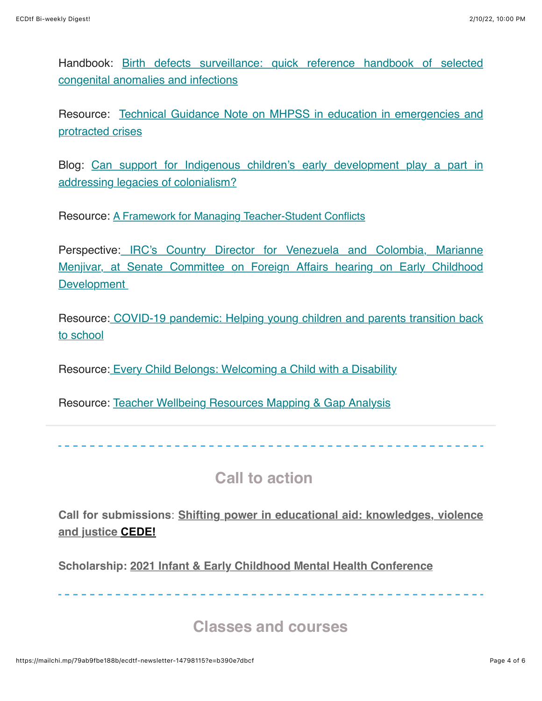[Handbook: Birth defects surveillance: quick reference handbook of selected](https://www.who.int/publications/i/item/9789240015418) congenital anomalies and infections

[Resource: Technical Guidance Note on MHPSS in education in emergencies and](https://www.educationcannotwait.org/wp-content/uploads/2021/07/MHPSS-Technical-Guidance-Note-2.0.pdf) protracted crises

[Blog: Can support for Indigenous children's early development play a part in](https://oecdedutoday.com/support-indigenous-childrens-early-development-addressing-legacies-colonialism/) addressing legacies of colonialism?

Resource: [A Framework for Managing Teacher-Student Conflicts](https://www.edutopia.org/article/framework-managing-teacher-student-conflicts)

[Perspective: IRC's Country Director for Venezuela and Colombia, Marianne](https://www.rescue.org/press-release/ircs-country-director-venezuela-and-colombia-marianne-menjivar-senate-committee?edme=true) Menjivar, at Senate Committee on Foreign Affairs hearing on Early Childhood **Development** 

[Resource: COVID-19 pandemic: Helping young children and parents transition back](https://www.cdc.gov/childrensmentalhealth/features/COVID-19-helping-children-transition-back-to-school.html) to school

Resource[: Every Child Belongs: Welcoming a Child with a Disability](https://www.naeyc.org/resources/pubs/tyc/sep2017/every-child-belongs)

Resource: [Teacher Wellbeing Resources Mapping & Gap Analysis](https://inee.org/resources/teacher-wellbeing-resources-mapping-gap-analysis?utm_source=INEE+email+lists&utm_campaign=a9ea4f413c-EMAIL_CAMPAIGN_2019_10_08_10_35_COPY_01&utm_medium=email&utm_term=0_710662b6ab-a9ea4f413c-25783713)

## **Call to action**

**Call for submissions**: **[Shifting power in educational aid: knowledges, violence](https://www.cedepowerinaid.com/) and justice CEDE!**

**Scholarship: [2021 Infant & Early Childhood](https://fs17.formsite.com/macmh/yvu6p7xeur/index.html?1628024471679) Mental Health Conference**

#### **Classes and courses**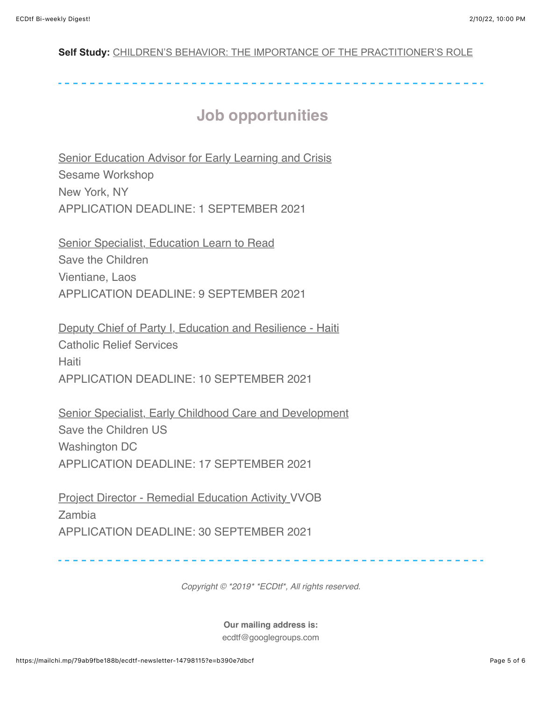#### **Self Study:** [CHILDREN'S BEHAVIOR: THE IMPORTANCE OF THE PRACTITIONER'S ROLE](https://www.inclusivechildcare.org/resource-library/course/childrens-behavior-importance-practitioners-role-0)

## **Job opportunities**

**[Senior Education Advisor for Early Learning and Crisis](https://inee.org/jobs/senior-education-advisor-early-learning-and-crisis-0)** Sesame Workshop New York, NY APPLICATION DEADLINE: 1 SEPTEMBER 2021

[Senior Specialist, Education Learn to Read](https://inee.org/jobs/senior-specialist-education-learn-read) Save the Children Vientiane, Laos APPLICATION DEADLINE: 9 SEPTEMBER 2021

[Deputy Chief of Party I, Education and Resilience - Haiti](https://inee.org/jobs/deputy-chief-party-i-education-and-resilience-haiti) Catholic Relief Services **Haiti** APPLICATION DEADLINE: 10 SEPTEMBER 2021

[Senior Specialist, Early Childhood Care and Development](https://inee.org/jobs/senior-specialist-early-childhood-care-and-development) Save the Children US Washington DC APPLICATION DEADLINE: 17 SEPTEMBER 2021

[Project Director - Remedial Education Activity](https://na01.safelinks.protection.outlook.com/?url=https%3A%2F%2Finee.us5.list-manage.com%2Ftrack%2Fclick%3Fu%3Dfef0506b371181f31cc3ba467%26id%3D3c7d6a0bd1%26e%3De2d7536134&data=04%7C01%7C%7Cf43d1efa7ef24c31428f08d95e307278%7C84df9e7fe9f640afb435aaaaaaaaaaaa%7C1%7C0%7C637644384444326678%7CUnknown%7CTWFpbGZsb3d8eyJWIjoiMC4wLjAwMDAiLCJQIjoiV2luMzIiLCJBTiI6Ik1haWwiLCJXVCI6Mn0%3D%7C1000&sdata=2Hjfzv1uOGgo%2FdBZ9oGjKh4XfN20maMTdIKVKqJvZQc%3D&reserved=0) VVOB Zambia APPLICATION DEADLINE: 30 SEPTEMBER 2021

*Copyright © \*2019\* \*ECDtf\*, All rights reserved.*

**Our mailing address is:**

ecdtf@googlegroups.com